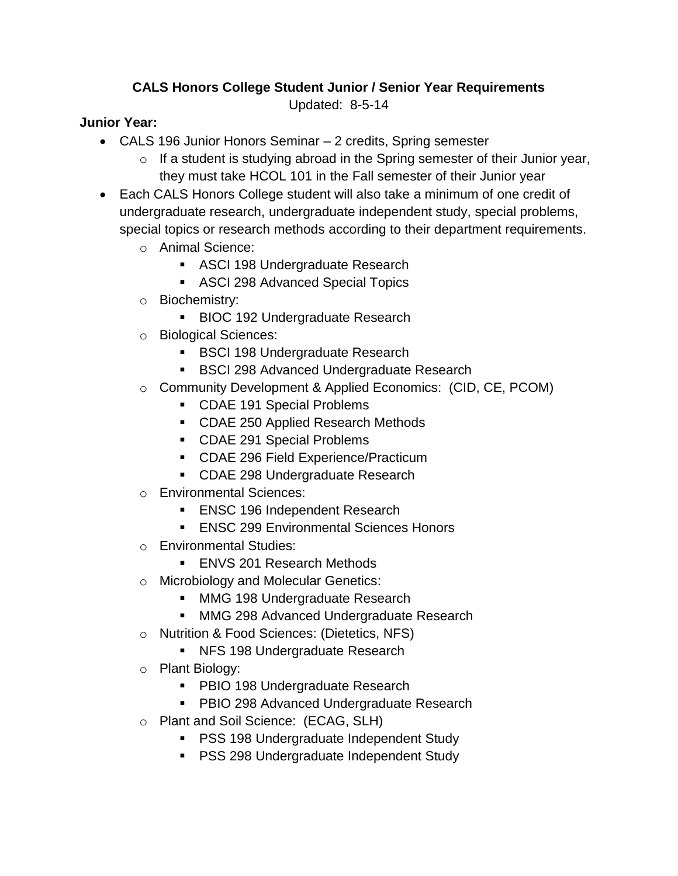## **CALS Honors College Student Junior / Senior Year Requirements**

Updated: 8-5-14

## **Junior Year:**

- CALS 196 Junior Honors Seminar 2 credits, Spring semester
	- $\circ$  If a student is studying abroad in the Spring semester of their Junior year, they must take HCOL 101 in the Fall semester of their Junior year
- Each CALS Honors College student will also take a minimum of one credit of undergraduate research, undergraduate independent study, special problems, special topics or research methods according to their department requirements.
	- o Animal Science:
		- ASCI 198 Undergraduate Research
		- **ASCI 298 Advanced Special Topics**
	- o Biochemistry:
		- **BIOC 192 Undergraduate Research**
	- o Biological Sciences:
		- **BSCI 198 Undergraduate Research**
		- BSCI 298 Advanced Undergraduate Research
	- o Community Development & Applied Economics: (CID, CE, PCOM)
		- CDAE 191 Special Problems
		- **CDAE 250 Applied Research Methods**
		- CDAE 291 Special Problems
		- CDAE 296 Field Experience/Practicum
		- CDAE 298 Undergraduate Research
	- o Environmental Sciences:
		- **ENSC 196 Independent Research**
		- **ENSC 299 Environmental Sciences Honors**
	- o Environmental Studies:
		- **ENVS 201 Research Methods**
	- o Microbiology and Molecular Genetics:
		- MMG 198 Undergraduate Research
		- **MMG 298 Advanced Undergraduate Research**
	- o Nutrition & Food Sciences: (Dietetics, NFS)
		- **NFS 198 Undergraduate Research**
	- o Plant Biology:
		- **PBIO 198 Undergraduate Research**
		- PBIO 298 Advanced Undergraduate Research
	- o Plant and Soil Science: (ECAG, SLH)
		- **PSS 198 Undergraduate Independent Study**
		- **PSS 298 Undergraduate Independent Study**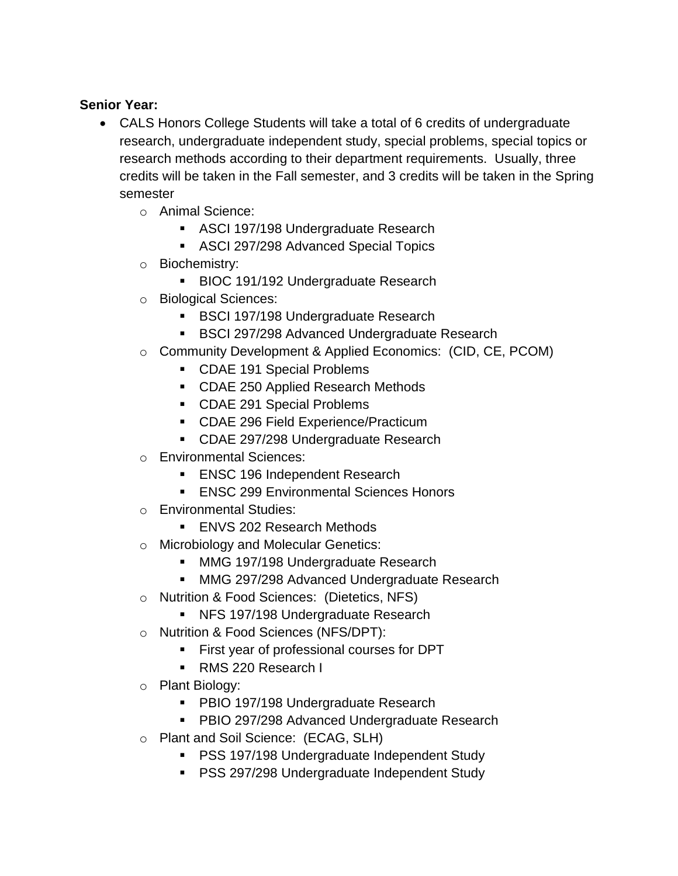## **Senior Year:**

- CALS Honors College Students will take a total of 6 credits of undergraduate research, undergraduate independent study, special problems, special topics or research methods according to their department requirements. Usually, three credits will be taken in the Fall semester, and 3 credits will be taken in the Spring semester
	- o Animal Science:
		- ASCI 197/198 Undergraduate Research
		- **ASCI 297/298 Advanced Special Topics**
	- o Biochemistry:
		- **BIOC 191/192 Undergraduate Research**
	- o Biological Sciences:
		- **BSCI 197/198 Undergraduate Research**
		- **BSCI 297/298 Advanced Undergraduate Research**
	- o Community Development & Applied Economics: (CID, CE, PCOM)
		- CDAE 191 Special Problems
		- CDAE 250 Applied Research Methods
		- CDAE 291 Special Problems
		- CDAE 296 Field Experience/Practicum
		- **CDAE 297/298 Undergraduate Research**
	- o Environmental Sciences:
		- ENSC 196 Independent Research
		- **ENSC 299 Environmental Sciences Honors**
	- o Environmental Studies:
		- ENVS 202 Research Methods
	- o Microbiology and Molecular Genetics:
		- **MMG 197/198 Undergraduate Research**
		- **MMG 297/298 Advanced Undergraduate Research**
	- o Nutrition & Food Sciences: (Dietetics, NFS)
		- **NFS 197/198 Undergraduate Research**
	- o Nutrition & Food Sciences (NFS/DPT):
		- **First year of professional courses for DPT**
		- RMS 220 Research I
	- o Plant Biology:
		- PBIO 197/198 Undergraduate Research
		- **PBIO 297/298 Advanced Undergraduate Research**
	- o Plant and Soil Science: (ECAG, SLH)
		- **PSS 197/198 Undergraduate Independent Study**
		- **PSS 297/298 Undergraduate Independent Study**